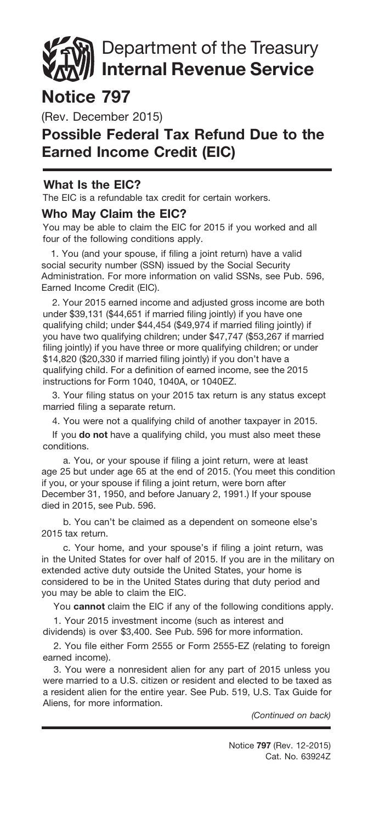# Department of the Treasury Internal Revenue Service

# Notice 797

(Rev. December 2015)

## Possible Federal Tax Refund Due to the Earned Income Credit (EIC)

### What Is the EIC?

The EIC is a refundable tax credit for certain workers.

#### Who May Claim the EIC?

You may be able to claim the EIC for 2015 if you worked and all four of the following conditions apply.

1. You (and your spouse, if filing a joint return) have a valid social security number (SSN) issued by the Social Security Administration. For more information on valid SSNs, see Pub. 596, Earned Income Credit (EIC).

2. Your 2015 earned income and adjusted gross income are both under \$39,131 (\$44,651 if married filing jointly) if you have one qualifying child; under \$44,454 (\$49,974 if married filing jointly) if you have two qualifying children; under \$47,747 (\$53,267 if married filing jointly) if you have three or more qualifying children; or under \$14,820 (\$20,330 if married filing jointly) if you don't have a qualifying child. For a definition of earned income, see the 2015 instructions for Form 1040, 1040A, or 1040EZ.

3. Your filing status on your 2015 tax return is any status except married filing a separate return.

4. You were not a qualifying child of another taxpayer in 2015.

If you do not have a qualifying child, you must also meet these conditions.

a. You, or your spouse if filing a joint return, were at least age 25 but under age 65 at the end of 2015. (You meet this condition if you, or your spouse if filing a joint return, were born after December 31, 1950, and before January 2, 1991.) If your spouse died in 2015, see Pub. 596.

b. You can't be claimed as a dependent on someone else's 2015 tax return.

c. Your home, and your spouse's if filing a joint return, was in the United States for over half of 2015. If you are in the military on extended active duty outside the United States, your home is considered to be in the United States during that duty period and you may be able to claim the EIC.

You cannot claim the EIC if any of the following conditions apply.

1. Your 2015 investment income (such as interest and dividends) is over \$3,400. See Pub. 596 for more information.

2. You file either Form 2555 or Form 2555-EZ (relating to foreign earned income).

3. You were a nonresident alien for any part of 2015 unless you were married to a U.S. citizen or resident and elected to be taxed as a resident alien for the entire year. See Pub. 519, U.S. Tax Guide for Aliens, for more information.

*(Continued on back)*

Cat. No. 63924Z Notice 797 (Rev. 12-2015)